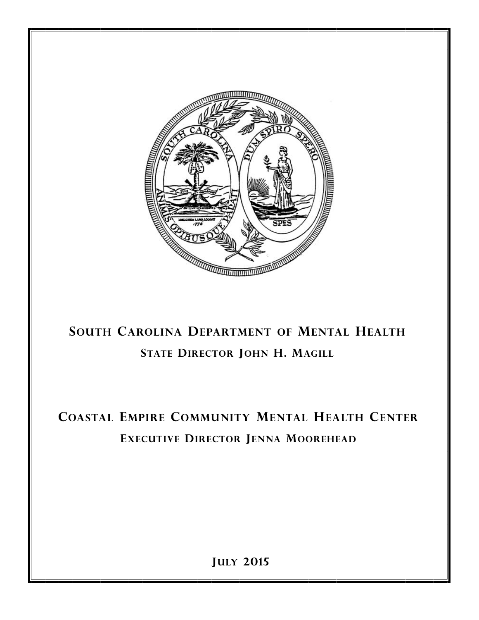

# **SOUTH CAROLINA DEPARTMENT OF MENTAL HEALTH STATE DIRECTOR JOHN H. MAGILL**

# **COASTAL EMPIRE COMMUNITY MENTAL HEALTH CENTER EXECUTIVE DIRECTOR JENNA MOOREHEAD**

**JULY 2015**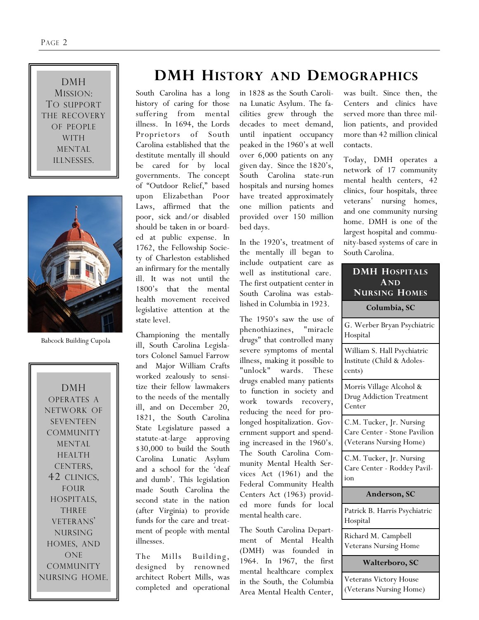MISSION: TO SUPPORT THE RECOVERY OF PEOPLE WITH MENTAL ILLNESSES.



Babcock Building Cupola

DMH OPERATES A NETWORK OF SEVENTEEN COMMUNITY MENTAL HEALTH CENTERS, 42 CLINICS, FOUR HOSPITALS, THREE VETERANS' NURSING HOMES, AND ONE COMMUNITY NURSING HOME.

## **DMH IISTORY AND DEMOGRAPHICS**

South Carolina has a long history of caring for those suffering from mental illness. In 1694, the Lords Proprietors of South Carolina established that the destitute mentally ill should be cared for by local governments. The concept of "Outdoor Relief," based upon Elizabethan Poor Laws, affirmed that the poor, sick and/or disabled should be taken in or boarded at public expense. In 1762, the Fellowship Society of Charleston established an infirmary for the mentally ill. It was not until the 1800's that the mental health movement received legislative attention at the state level.

Championing the mentally ill, South Carolina Legislators Colonel Samuel Farrow and Major William Crafts worked zealously to sensitize their fellow lawmakers to the needs of the mentally ill, and on December 20, 1821, the South Carolina State Legislature passed a statute-at-large approving \$30,000 to build the South Carolina Lunatic Asylum and a school for the 'deaf and dumb'. This legislation made South Carolina the second state in the nation (after Virginia) to provide funds for the care and treatment of people with mental illnesses.

The Mills Building, designed by renowned architect Robert Mills, was completed and operational

in 1828 as the South Carolina Lunatic Asylum. The facilities grew through the decades to meet demand, until inpatient occupancy peaked in the 1960's at well over 6,000 patients on any given day. Since the 1820's, South Carolina state-run hospitals and nursing homes have treated approximately one million patients and provided over 150 million bed days.

In the 1920's, treatment of the mentally ill began to include outpatient care as well as institutional care. The first outpatient center in South Carolina was established in Columbia in 1923.

The 1950's saw the use of phenothiazines, "miracle drugs" that controlled many severe symptoms of mental illness, making it possible to "unlock" wards. These drugs enabled many patients to function in society and work towards recovery, reducing the need for prolonged hospitalization. Government support and spending increased in the 1960's. The South Carolina Community Mental Health Services Act (1961) and the Federal Community Health Centers Act (1963) provided more funds for local mental health care.

The South Carolina Department of Mental Health (DMH) was founded in 1964. In 1967, the first mental healthcare complex in the South, the Columbia Area Mental Health Center,

was built. Since then, the Centers and clinics have served more than three million patients, and provided more than 42 million clinical contacts.

Today, DMH operates a network of 17 community mental health centers, 42 clinics, four hospitals, three veterans' nursing homes, and one community nursing home. DMH is one of the largest hospital and community-based systems of care in South Carolina.

#### **DMH HOSPITALS AND NURSING HOMES**

**Columbia, SC**

G. Werber Bryan Psychiatric Hospital

William S. Hall Psychiatric Institute (Child & Adolescents)

Morris Village Alcohol & Drug Addiction Treatment Center

C.M. Tucker, Jr. Nursing Care Center - Stone Pavilion (Veterans Nursing Home)

C.M. Tucker, Jr. Nursing Care Center - Roddey Pavilion

#### **Anderson, SC**

Patrick B. Harris Psychiatric Hospital

Richard M. Campbell Veterans Nursing Home

**Walterboro, SC**

Veterans Victory House (Veterans Nursing Home)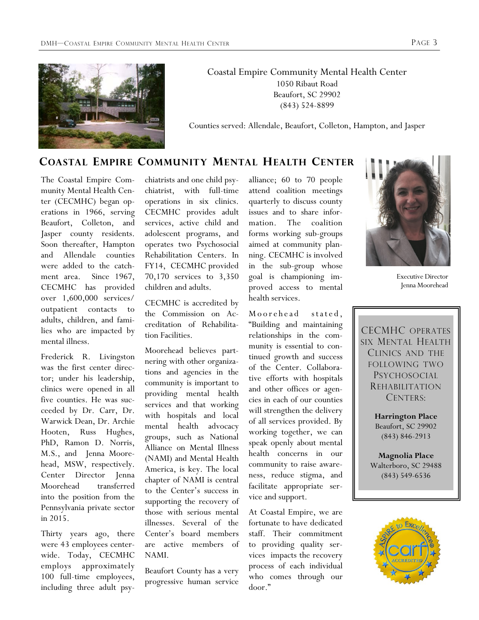

Coastal Empire Community Mental Health Center 1050 Ribaut Road Beaufort, SC 29902 (843) 524-8899

Counties served: Allendale, Beaufort, Colleton, Hampton, and Jasper

## **COASTAL EMPIRE COMMUNITY MENTAL HEALTH CENTER**

The Coastal Empire Community Mental Health Center (CECMHC) began operations in 1966, serving Beaufort, Colleton, and Jasper county residents. Soon thereafter, Hampton and Allendale counties were added to the catchment area. Since 1967, CECMHC has provided over 1,600,000 services/ outpatient contacts to adults, children, and families who are impacted by mental illness.

Frederick R. Livingston was the first center director; under his leadership, clinics were opened in all five counties. He was succeeded by Dr. Carr, Dr. Warwick Dean, Dr. Archie Hooten, Russ Hughes, PhD, Ramon D. Norris, M.S., and Jenna Moorehead, MSW, respectively. Center Director Jenna Moorehead transferred into the position from the Pennsylvania private sector in 2015.

Thirty years ago, there were 43 employees centerwide. Today, CECMHC employs approximately 100 full-time employees, including three adult psy-

chiatrists and one child psychiatrist, with full-time operations in six clinics. CECMHC provides adult services, active child and adolescent programs, and operates two Psychosocial Rehabilitation Centers. In FY14, CECMHC provided 70,170 services to 3,350 children and adults.

CECMHC is accredited by the Commission on Accreditation of Rehabilitation Facilities.

Moorehead believes partnering with other organizations and agencies in the community is important to providing mental health services and that working with hospitals and local mental health advocacy groups, such as National Alliance on Mental Illness (NAMI) and Mental Health America, is key. The local chapter of NAMI is central to the Center's success in supporting the recovery of those with serious mental illnesses. Several of the Center's board members are active members of NAMI.

Beaufort County has a very progressive human service alliance; 60 to 70 people attend coalition meetings quarterly to discuss county issues and to share information. The coalition forms working sub-groups aimed at community planning. CECMHC is involved in the sub-group whose goal is championing improved access to mental health services.

Moorehead stated, "Building and maintaining relationships in the community is essential to continued growth and success of the Center. Collaborative efforts with hospitals and other offices or agencies in each of our counties will strengthen the delivery of all services provided. By working together, we can speak openly about mental health concerns in our community to raise awareness, reduce stigma, and facilitate appropriate service and support.

At Coastal Empire, we are fortunate to have dedicated staff. Their commitment to providing quality services impacts the recovery process of each individual who comes through our door."



Executive Director Jenna Moorehead

CECMHC OPERATES SIX MENTAL HEALTH CLINICS AND THE FOLLOWING TWO PSYCHOSOCIAL REHABILITATION CENTERS:

 $\overline{1}$ 

**Harrington Place** Beaufort, SC 29902 (843) 846-2913

**Magnolia Place** Walterboro, SC 29488 (843) 549-6536

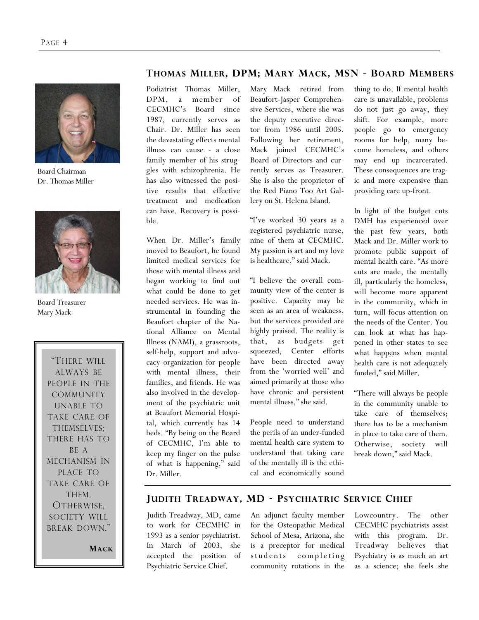

Board Chairman Dr. Thomas Miller



Board Treasurer Mary Mack

"THERE WILL ALWAYS BE PEOPLE IN THE COMMUNITY UNABLE TO TAKE CARE OF THEMSELVES; THERE HAS TO BE A MECHANISM IN PLACE TO TAKE CARE OF THEM. OTHERWISE, SOCIETY WILL BREAK DOWN."

**MACK**

## **THOMAS MILLER, DPM; MARY MACK, MSN - BOARD MEMBERS**

Podiatrist Thomas Miller, DPM, a member of CECMHC's Board since 1987, currently serves as Chair. Dr. Miller has seen the devastating effects mental illness can cause - a close family member of his struggles with schizophrenia. He has also witnessed the positive results that effective treatment and medication can have. Recovery is possible.

When Dr. Miller's family moved to Beaufort, he found limited medical services for those with mental illness and began working to find out what could be done to get needed services. He was instrumental in founding the Beaufort chapter of the National Alliance on Mental Illness (NAMI), a grassroots, self-help, support and advocacy organization for people with mental illness, their families, and friends. He was also involved in the development of the psychiatric unit at Beaufort Memorial Hospital, which currently has 14 beds. "By being on the Board of CECMHC, I'm able to keep my finger on the pulse of what is happening," said Dr. Miller.

Mary Mack retired from Beaufort-Jasper Comprehensive Services, where she was the deputy executive director from 1986 until 2005. Following her retirement, Mack joined CECMHC's Board of Directors and currently serves as Treasurer. She is also the proprietor of the Red Piano Too Art Gallery on St. Helena Island.

"I've worked 30 years as a registered psychiatric nurse, nine of them at CECMHC. My passion is art and my love is healthcare," said Mack.

"I believe the overall community view of the center is positive. Capacity may be seen as an area of weakness, but the services provided are highly praised. The reality is that, as budgets get squeezed, Center efforts have been directed away from the 'worried well' and aimed primarily at those who have chronic and persistent mental illness," she said.

People need to understand the perils of an under-funded mental health care system to understand that taking care of the mentally ill is the ethical and economically sound

thing to do. If mental health care is unavailable, problems do not just go away, they shift. For example, more people go to emergency rooms for help, many become homeless, and others may end up incarcerated. These consequences are tragic and more expensive than providing care up-front.

In light of the budget cuts DMH has experienced over the past few years, both Mack and Dr. Miller work to promote public support of mental health care. "As more cuts are made, the mentally ill, particularly the homeless, will become more apparent in the community, which in turn, will focus attention on the needs of the Center. You can look at what has happened in other states to see what happens when mental health care is not adequately funded," said Miller.

"There will always be people in the community unable to take care of themselves; there has to be a mechanism in place to take care of them. Otherwise, society will break down," said Mack.

## **JUDITH TREADWAY, MD - PSYCHIATRIC SERVICE CHIEF**

Judith Treadway, MD, came to work for CECMHC in 1993 as a senior psychiatrist. In March of 2003, she accepted the position of Psychiatric Service Chief.

An adjunct faculty member for the Osteopathic Medical School of Mesa, Arizona, she is a preceptor for medical students completing community rotations in the

Lowcountry. The other CECMHC psychiatrists assist with this program. Dr. Treadway believes that Psychiatry is as much an art as a science; she feels she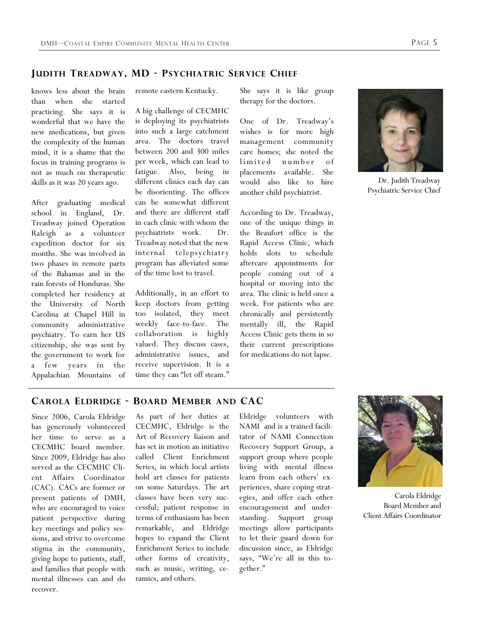#### **JUDITH TREADWAY, MD - PSYCHIATRIC SERVICE CHIEF**

knows less about the brain than when she started practicing. She says it is wonderful that we have the new medications, but given the complexity of the human mind, it is a shame that the focus in training programs is not as much on therapeutic skills as it was 20 years ago.

After graduating medical school in England, Dr. Treadway joined Operation Raleigh as a volunteer expedition doctor for six months. She was involved in two phases in remote parts of the Bahamas and in the rain forests of Honduras. She completed her residency at the University of North Carolina at Chapel Hill in community administrative psychiatry. To earn her US citizenship, she was sent by the government to work for a few years in the Appalachian Mountains of remote eastern Kentucky.

A big challenge of CECMHC is deploying its psychiatrists into such a large catchment area. The doctors travel between 200 and 300 miles per week, which can lead to fatigue. Also, being in different clinics each day can be disorienting. The offices can be somewhat different and there are different staff in each clinic with whom the psychiatrists work. Dr. Treadway noted that the new internal telepsychiatry program has alleviated some of the time lost to travel.

Additionally, in an effort to keep doctors from getting too isolated, they meet weekly face-to-face. The collaboration is highly valued. They discuss cases, administrative issues, and receive supervision. It is a time they can "let off steam."

She says it is like group therapy for the doctors.

One of Dr. Treadway's wishes is for more high management community care homes; she noted the limited number of placements available. She would also like to hire another child psychiatrist.

According to Dr. Treadway, one of the unique things in the Beaufort office is the Rapid Access Clinic, which holds slots to schedule aftercare appointments for people coming out of a hospital or moving into the area. The clinic is held once a week. For patients who are chronically and persistently mentally ill, the Rapid Access Clinic gets them in so their current prescriptions for medications do not lapse.



Dr. Judith Treadway Psychiatric Service Chief

### **CAROLA ELDRIDGE - BOARD MEMBER AND CAC**

Since 2006, Carola Eldridge has generously volunteered her time to serve as a CECMHC board member. Since 2009, Eldridge has also served as the CECMHC Client Affairs Coordinator (CAC). CACs are former or present patients of DMH, who are encouraged to voice patient perspective during key meetings and policy sessions, and strive to overcome stigma in the community, giving hope to patients, staff, and families that people with mental illnesses can and do recover.

As part of her duties at CECMHC, Eldridge is the Art of Recovery liaison and has set in motion an initiative called Client Enrichment Series, in which local artists hold art classes for patients on some Saturdays. The art classes have been very successful; patient response in terms of enthusiasm has been remarkable, and Eldridge hopes to expand the Client Enrichment Series to include other forms of creativity, such as music, writing, ceramics, and others.

Eldridge volunteers with NAMI and is a trained facilitator of NAMI Connection Recovery Support Group, a support group where people living with mental illness learn from each others' experiences, share coping strategies, and offer each other encouragement and understanding. Support group meetings allow participants to let their guard down for discussion since, as Eldridge says, "We're all in this together."



Carola Eldridge Board Member and Client Affairs Coordinator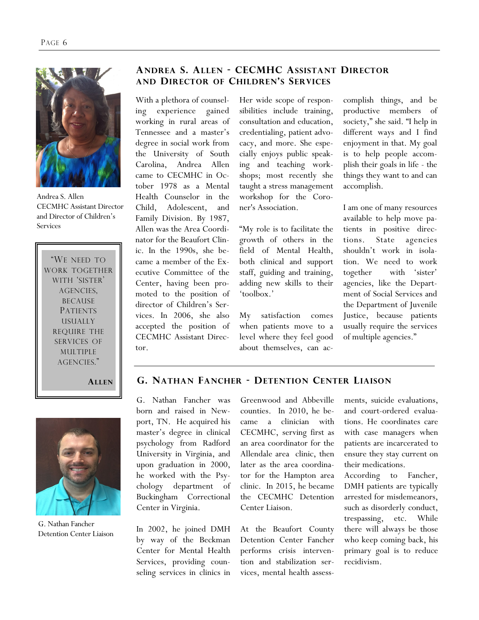

Andrea S. Allen CECMHC Assistant Director and Director of Children's Services

"WE NEED TO WORK TOGETHER WITH 'SISTER' AGENCIES, BECAUSE PATIENTS USUALLY REQUIRE THE SERVICES OF **MULTIPLE** AGENCIES."

**ALLEN**



G. Nathan Fancher Detention Center Liaison

## **ANDREA S. ALLEN - CECMHC ASSISTANT DIRECTOR AND DIRECTOR OF CHILDREN'S SERVICES**

With a plethora of counseling experience gained working in rural areas of Tennessee and a master's degree in social work from the University of South Carolina, Andrea Allen came to CECMHC in October 1978 as a Mental Health Counselor in the Child, Adolescent, and Family Division. By 1987, Allen was the Area Coordinator for the Beaufort Clinic. In the 1990s, she became a member of the Executive Committee of the Center, having been promoted to the position of director of Children's Services. In 2006, she also accepted the position of CECMHC Assistant Director.

Her wide scope of responsibilities include training, consultation and education, credentialing, patient advocacy, and more. She especially enjoys public speaking and teaching workshops; most recently she taught a stress management workshop for the Coroner's Association.

"My role is to facilitate the growth of others in the field of Mental Health, both clinical and support staff, guiding and training, adding new skills to their 'toolbox.'

My satisfaction comes when patients move to a level where they feel good about themselves, can accomplish things, and be productive members of society," she said. "I help in different ways and I find enjoyment in that. My goal is to help people accomplish their goals in life - the things they want to and can accomplish.

I am one of many resources available to help move patients in positive directions. State agencies shouldn't work in isolation. We need to work together with 'sister' agencies, like the Department of Social Services and the Department of Juvenile Justice, because patients usually require the services of multiple agencies."

## **G. NATHAN FANCHER - DETENTION CENTER LIAISON**

G. Nathan Fancher was born and raised in Newport, TN. He acquired his master's degree in clinical psychology from Radford University in Virginia, and upon graduation in 2000, he worked with the Psychology department of Buckingham Correctional Center in Virginia.

In 2002, he joined DMH by way of the Beckman Center for Mental Health Services, providing counseling services in clinics in

Greenwood and Abbeville counties. In 2010, he became a clinician with CECMHC, serving first as an area coordinator for the Allendale area clinic, then later as the area coordinator for the Hampton area clinic. In 2015, he became the CECMHC Detention Center Liaison.

At the Beaufort County Detention Center Fancher performs crisis intervention and stabilization services, mental health assess-

ments, suicide evaluations, and court-ordered evaluations. He coordinates care with case managers when patients are incarcerated to ensure they stay current on their medications.

According to Fancher, DMH patients are typically arrested for misdemeanors, such as disorderly conduct, trespassing, etc. While there will always be those who keep coming back, his primary goal is to reduce recidivism.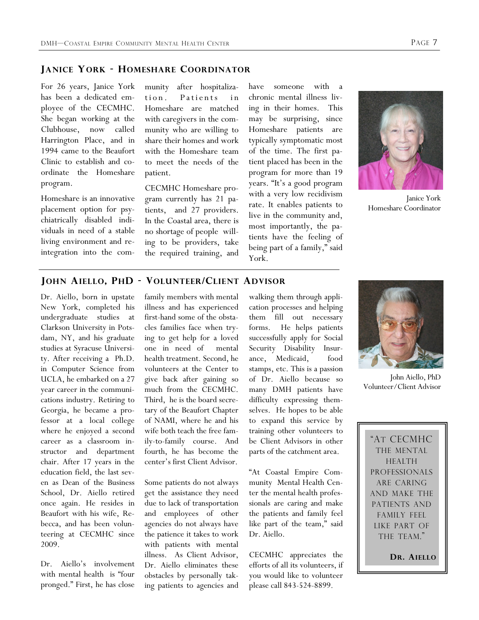### **JANICE YORK - HOMESHARE COORDINATOR**

For 26 years, Janice York has been a dedicated employee of the CECMHC. She began working at the Clubhouse, now called Harrington Place, and in 1994 came to the Beaufort Clinic to establish and coordinate the Homeshare program.

Homeshare is an innovative placement option for psychiatrically disabled individuals in need of a stable living environment and reintegration into the community after hospitalization. Patients in Homeshare are matched with caregivers in the community who are willing to share their homes and work with the Homeshare team to meet the needs of the patient.

CECMHC Homeshare program currently has 21 patients, and 27 providers. In the Coastal area, there is no shortage of people willing to be providers, take the required training, and have someone with a chronic mental illness living in their homes. This may be surprising, since Homeshare patients are typically symptomatic most of the time. The first patient placed has been in the program for more than 19 years. "It's a good program with a very low recidivism rate. It enables patients to live in the community and, most importantly, the patients have the feeling of being part of a family," said York.



Janice York Homeshare Coordinator

#### **JOHN AIELLO, PHD - VOLUNTEER/CLIENT ADVISOR**

Dr. Aiello, born in upstate New York, completed his undergraduate studies at Clarkson University in Potsdam, NY, and his graduate studies at Syracuse University. After receiving a Ph.D. in Computer Science from UCLA, he embarked on a 27 year career in the communications industry. Retiring to Georgia, he became a professor at a local college where he enjoyed a second career as a classroom instructor and department chair. After 17 years in the education field, the last seven as Dean of the Business School, Dr. Aiello retired once again. He resides in Beaufort with his wife, Rebecca, and has been volunteering at CECMHC since 2009.

Dr. Aiello's involvement with mental health is "four pronged." First, he has close

family members with mental illness and has experienced first-hand some of the obstacles families face when trying to get help for a loved one in need of mental health treatment. Second, he volunteers at the Center to give back after gaining so much from the CECMHC. Third, he is the board secretary of the Beaufort Chapter of NAMI, where he and his wife both teach the free family-to-family course. And fourth, he has become the center's first Client Advisor.

Some patients do not always get the assistance they need due to lack of transportation and employees of other agencies do not always have the patience it takes to work with patients with mental illness. As Client Advisor, Dr. Aiello eliminates these obstacles by personally taking patients to agencies and

walking them through application processes and helping them fill out necessary forms. He helps patients successfully apply for Social Security Disability Insurance, Medicaid, food stamps, etc. This is a passion of Dr. Aiello because so many DMH patients have difficulty expressing themselves. He hopes to be able to expand this service by training other volunteers to be Client Advisors in other parts of the catchment area.

"At Coastal Empire Community Mental Health Center the mental health professionals are caring and make the patients and family feel like part of the team," said Dr. Aiello.

CECMHC appreciates the efforts of all its volunteers, if you would like to volunteer please call 843-524-8899.



John Aiello, PhD Volunteer/Client Advisor

"AT CECMHC THE MENTAL HEALTH PROFESSIONALS ARE CARING AND MAKE THE PATIENTS AND FAMILY FEEL LIKE PART OF THE TEAM."

**DR. AIELLO**